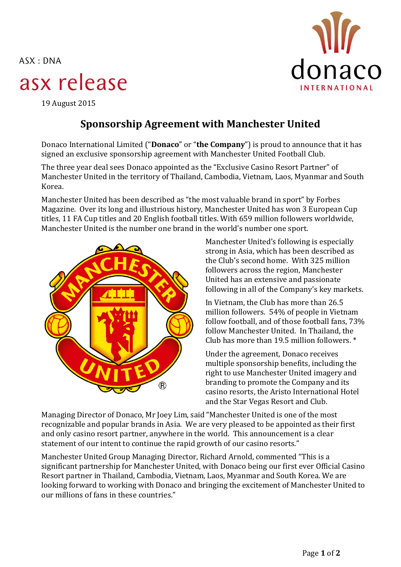$ASK: DNA$ 

# asx release



19 August 2015

## **Sponsorship Agreement with Manchester United**

Donaco International Limited ("**Donaco**" or "**the Company**") is proud to announce that it has signed an exclusive sponsorship agreement with Manchester United Football Club.

The three year deal sees Donaco appointed as the "Exclusive Casino Resort Partner" of Manchester United in the territory of Thailand, Cambodia, Vietnam, Laos, Myanmar and South Korea.

Manchester United has been described as "the most valuable brand in sport" by Forbes Magazine. Over its long and illustrious history, Manchester United has won 3 European Cup titles, 11 FA Cup titles and 20 English football titles. With 659 million followers worldwide, Manchester United is the number one brand in the world's number one sport.



Manchester United's following is especially strong in Asia, which has been described as the Club's second home. With 325 million followers across the region, Manchester United has an extensive and passionate following in all of the Company's key markets.

In Vietnam, the Club has more than 26.5 million followers. 54% of people in Vietnam follow football, and of those football fans, 73% follow Manchester United. In Thailand, the Club has more than 19.5 million followers. \*

Under the agreement, Donaco receives multiple sponsorship benefits, including the right to use Manchester United imagery and branding to promote the Company and its casino resorts, the Aristo International Hotel and the Star Vegas Resort and Club.

Managing Director of Donaco, Mr Joey Lim, said "Manchester United is one of the most recognizable and popular brands in Asia. We are very pleased to be appointed as their first and only casino resort partner, anywhere in the world. This announcement is a clear statement of our intent to continue the rapid growth of our casino resorts."

Manchester United Group Managing Director, Richard Arnold, commented "This is a significant partnership for Manchester United, with Donaco being our first ever Official Casino Resort partner in Thailand, Cambodia, Vietnam, Laos, Myanmar and South Korea. We are looking forward to working with Donaco and bringing the excitement of Manchester United to our millions of fans in these countries."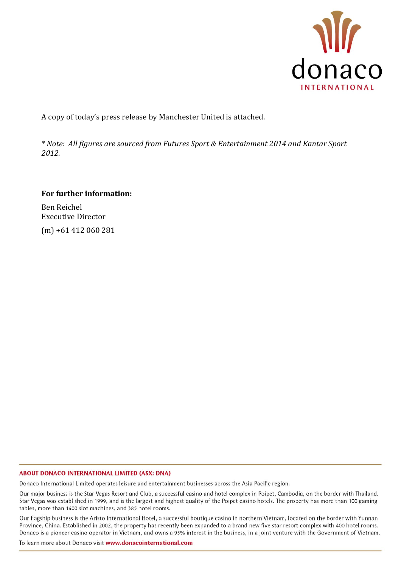

A copy of today's press release by Manchester United is attached.

*\* Note: All figures are sourced from Futures Sport & Entertainment 2014 and Kantar Sport 2012.*

### **For further information:**

Ben Reichel Executive Director (m) +61 412 060 281

#### **ABOUT DONACO INTERNATIONAL LIMITED (ASX: DNA)**

Donaco International Limited operates leisure and entertainment businesses across the Asia Pacific region.

Our major business is the Star Vegas Resort and Club, a successful casino and hotel complex in Poipet, Cambodia, on the border with Thailand. Star Vegas was established in 1999, and is the largest and highest quality of the Poipet casino hotels. The property has more than 100 gaming tables, more than 1400 slot machines, and 385 hotel rooms.

Our flagship business is the Aristo International Hotel, a successful boutique casino in northern Vietnam, located on the border with Yunnan Province, China. Established in 2002, the property has recently been expanded to a brand new five star resort complex with 400 hotel rooms. Donaco is a pioneer casino operator in Vietnam, and owns a 95% interest in the business, in a joint venture with the Government of Vietnam.

To learn more about Donaco visit www.donacointernational.com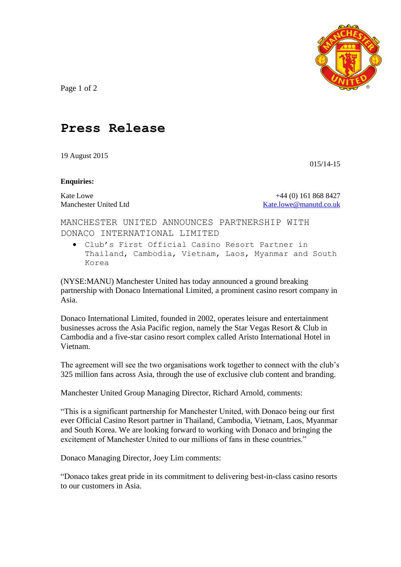

Page 1 of 2

## **Press Release**

19 August 2015

015/14-15

#### **Enquiries:**

Kate Lowe +44 (0) 161 868 8427 Manchester United Ltd [Kate.lowe@manutd.co.uk](mailto:Kate.lowe@manutd.co.uk)

MANCHESTER UNITED ANNOUNCES PARTNERSHIP WITH DONACO INTERNATIONAL LIMITED

 Club's First Official Casino Resort Partner in Thailand, Cambodia, Vietnam, Laos, Myanmar and South Korea

(NYSE:MANU) Manchester United has today announced a ground breaking partnership with Donaco International Limited, a prominent casino resort company in Asia.

Donaco International Limited, founded in 2002, operates leisure and entertainment businesses across the Asia Pacific region, namely the Star Vegas Resort & Club in Cambodia and a five-star casino resort complex called Aristo International Hotel in Vietnam.

The agreement will see the two organisations work together to connect with the club's 325 million fans across Asia, through the use of exclusive club content and branding.

Manchester United Group Managing Director, Richard Arnold, comments:

"This is a significant partnership for Manchester United, with Donaco being our first ever Official Casino Resort partner in Thailand, Cambodia, Vietnam, Laos, Myanmar and South Korea. We are looking forward to working with Donaco and bringing the excitement of Manchester United to our millions of fans in these countries."

Donaco Managing Director, Joey Lim comments:

"Donaco takes great pride in its commitment to delivering best-in-class casino resorts to our customers in Asia.